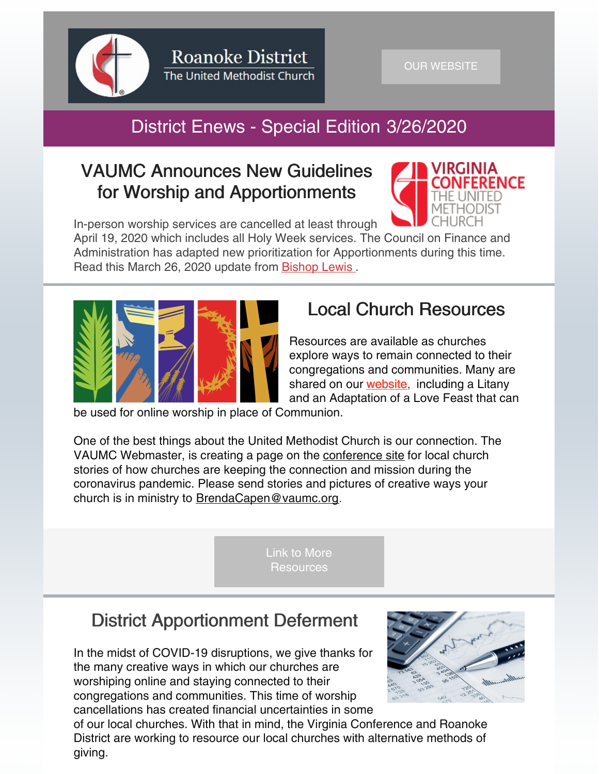

# District Enews - Special Edition 3/26/2020

### VAUMC Announces New Guidelines for Worship and Apportionments



In-person worship services are cancelled at least through April 19, 2020 which includes all Holy Week services. The Council on Finance and Administration has adapted new prioritization for Apportionments during this time. Read this March 26, 2020 update from [Bishop](http://www.vaumc.org/ncfilerepository/News2020/BishopLetter3-26-20.pdf) Lewis .



## Local Church Resources

Resources are available as churches explore ways to remain connected to their congregations and communities. Many are shared on our **[website](https://www.roanokeumc.org/news.php?id=92)**, including a Litany and an Adaptation of a Love Feast that can

be used for online worship in place of Communion.

One of the best things about the United Methodist Church is our connection. The VAUMC Webmaster, is creating a page on the [conference](http://www.vaumc.org) site for local church stories of how churches are keeping the connection and mission during the coronavirus pandemic. Please send stories and pictures of creative ways your church is in ministry to [BrendaCapen@vaumc.org](mailto:BrendaCapen@vaumc.org).

> Link to More **[Resources](https://roanokeumc.org/news.php?id=92)**

### District Apportionment Deferment

In the midst of COVID-19 disruptions, we give thanks for the many creative ways in which our churches are worshiping online and staying connected to their congregations and communities. This time of worship cancellations has created financial uncertainties in some



of our local churches. With that in mind, the Virginia Conference and Roanoke District are working to resource our local churches with alternative methods of giving.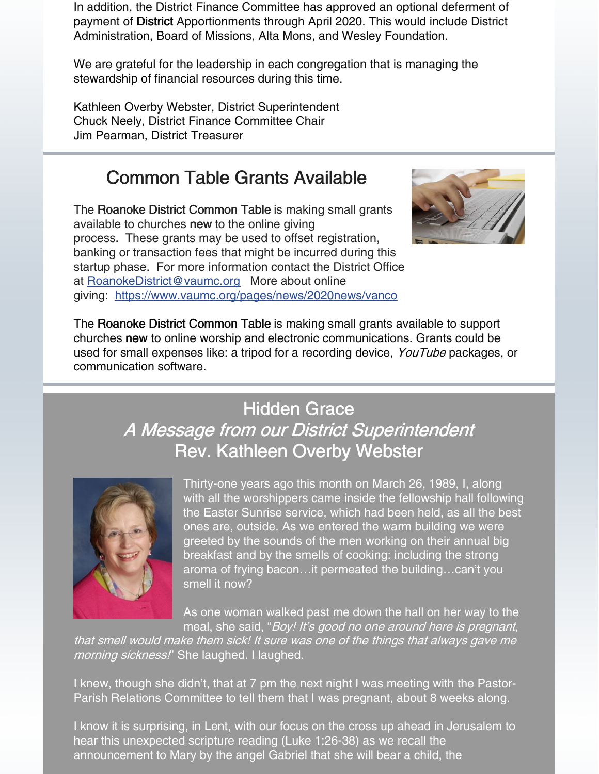In addition, the District Finance Committee has approved an optional deferment of payment of District Apportionments through April 2020. This would include District Administration, Board of Missions, Alta Mons, and Wesley Foundation.

We are grateful for the leadership in each congregation that is managing the stewardship of financial resources during this time.

Kathleen Overby Webster, District Superintendent Chuck Neely, District Finance Committee Chair Jim Pearman, District Treasurer

### Common Table Grants Available

The Roanoke District Common Table is making small grants available to churches new to the online giving process. These grants may be used to offset registration, banking or transaction fees that might be incurred during this startup phase. For more information contact the District Office at [RoanokeDistrict@vaumc.org](mailto:RoanokeDistrict@vaumc.org) More about online giving: <https://www.vaumc.org/pages/news/2020news/vanco>



The Roanoke District Common Table is making small grants available to support churches new to online worship and electronic communications. Grants could be used for small expenses like: a tripod for a recording device, YouTube packages, or communication software.

## Hidden Grace A Message from our District Superintendent Rev. Kathleen Overby Webster



Thirty-one years ago this month on March 26, 1989, I, along with all the worshippers came inside the fellowship hall following the Easter Sunrise service, which had been held, as all the best ones are, outside. As we entered the warm building we were greeted by the sounds of the men working on their annual big breakfast and by the smells of cooking: including the strong aroma of frying bacon…it permeated the building…can't you smell it now?

As one woman walked past me down the hall on her way to the meal, she said, "Boy! It's good no one around here is pregnant,

that smell would make them sick! It sure was one of the things that always gave me morning sickness!" She laughed. I laughed.

I knew, though she didn't, that at 7 pm the next night I was meeting with the Pastor-Parish Relations Committee to tell them that I was pregnant, about 8 weeks along.

I know it is surprising, in Lent, with our focus on the cross up ahead in Jerusalem to hear this unexpected scripture reading (Luke 1:26-38) as we recall the announcement to Mary by the angel Gabriel that she will bear a child, the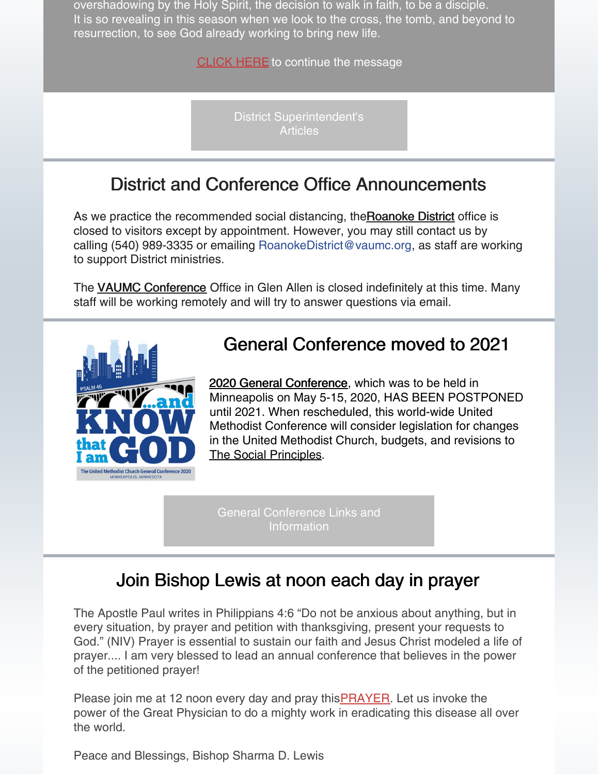overshadowing by the Holy Spirit, the decision to walk in faith, to be a disciple. It is so revealing in this season when we look to the cross, the tomb, and beyond to resurrection, to see God already working to bring new life.

**[CLICK](https://roanokeumc.org/ds.php?ds=89) HERE** to continue the message

District [Superintendent's](https://roanokeumc.org/ds.php) **Articles** 

#### District and Conference Office Announcements

As we practice the recommended social distancing, the Roanoke District office is closed to visitors except by appointment. However, you may still contact us by calling (540) 989-3335 or emailing RoanokeDistrict@vaumc.org, as staff are working to support District ministries.

The **VAUMC** [Conference](https://www.vaumc.org/) Office in Glen Allen is closed indefinitely at this time. Many staff will be working remotely and will try to answer questions via email.



#### General Conference moved to 2021

2020 General [Conference](https://www.resourceumc.org/en/content/general-conference-to-move-to-2021), which was to be held in Minneapolis on May 5-15, 2020, HAS BEEN POSTPONED until 2021. When rescheduled, this world-wide United Methodist Conference will consider legislation for changes in the United Methodist Church, budgets, and revisions to The Social [Principles](https://www.umcsocialprinciples2020.org/?mkt_tok=eyJpIjoiTXpNNU4yVTJOelk0TlRreSIsInQiOiJuMFloRlgwZU40c0JhYkNmN1hiU1VDVEN4QmJIdzlVZmdwRmdXNDRVVEJoMXRJS2syOTJmWXRpaHlGdUJhQklCMGVXRk13QUZCNlpmZm5zNFZnWUNpYlh5c1RUeTNZb1p0RFwvTGdYUTR4XC9rOHlxV2pQMlwvcTVmQWR2TmtiWFNpSCJ9).

General [Conference](https://roanokeumc.org/news.php?id=90) Links and **Information** 

#### Join Bishop Lewis at noon each day in prayer

The Apostle Paul writes in Philippians 4:6 "Do not be anxious about anything, but in every situation, by prayer and petition with thanksgiving, present your requests to God." (NIV) Prayer is essential to sustain our faith and Jesus Christ modeled a life of prayer.... I am very blessed to lead an annual conference that believes in the power of the petitioned prayer!

Please join me at 12 noon every day and pray this **[PRAYER](http://www.vaumc.org/ncfilerepository/BishopLewis/PrayatNoon.pdf)**. Let us invoke the power of the Great Physician to do a mighty work in eradicating this disease all over the world.

Peace and Blessings, Bishop Sharma D. Lewis